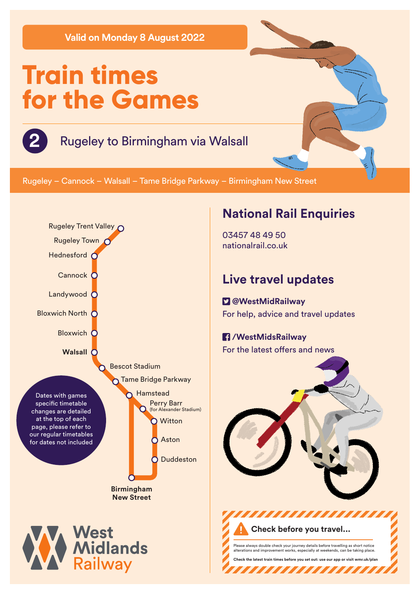**Valid on Monday 8 August 2022**

# **Train times for the Games**

# **2** Rugeley to Birmingham via Walsall

Rugeley – Cannock – Walsall – Tame Bridge Parkway – Birmingham New Street



### **National Rail Enquiries**

03457 48 49 50 nationalrail.co.uk

## **Live travel updates**

 **@WestMidRailway** For help, advice and travel updates

#### **/WestMidsRailway** For the latest offers and news



Please always double check your journey details before travelling as short notice alterations and improvement works, especially at weekends, can be taking place. **Check the latest train times before you set out: use our app or visit wmr.uk/plan** 

,,,,,,,,,,,,,

**Check before you travel...**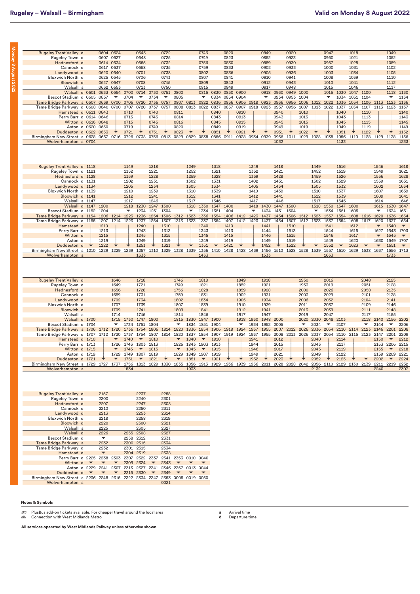**Monday 8 August 2022**

Monday 8 August 2022

| <b>Rugeley Trent Valley d</b>     |  | 0604                     | 0624                 |                                              | 0645                     |                          | 0722                     |                          |           | 0746                 |           | 0820 |                |           | 0849      |      | 0920      |      |                          | 0947 |                          | 1018      |           |                          | 1049                     |                          |
|-----------------------------------|--|--------------------------|----------------------|----------------------------------------------|--------------------------|--------------------------|--------------------------|--------------------------|-----------|----------------------|-----------|------|----------------|-----------|-----------|------|-----------|------|--------------------------|------|--------------------------|-----------|-----------|--------------------------|--------------------------|--------------------------|
| Rugeley Town d                    |  | 0607                     | 0627                 |                                              | 0648                     |                          | 0725                     |                          |           | 0749                 |           | 0823 |                |           | 0852      |      | 0923      |      |                          | 0950 |                          | 1021      |           |                          | 1052                     |                          |
| Hednesford d                      |  | 0614 0634                |                      |                                              | 0655                     |                          | 0732                     |                          |           | 0756                 |           | 0830 |                |           | 0859      |      | 0930      |      |                          | 0957 |                          | 1028      |           |                          | 1059                     |                          |
| Cannock d                         |  | 0617                     | 0637                 |                                              | 0658                     |                          | 0735                     |                          |           | 0759                 |           | 0833 |                |           | 0902      |      | 0933      |      |                          | 1000 |                          | 1031      |           |                          | 1102                     |                          |
| Landywood d                       |  | 0620                     | 0640                 |                                              | 0701                     |                          | 0738                     |                          |           | 0802                 |           | 0836 |                |           | 0905      |      | 0936      |      |                          | 1003 |                          | 1034      |           |                          | 1105                     |                          |
| Bloxwich North d                  |  | 0625                     | 0645                 |                                              | 0706                     |                          | 0743                     |                          |           | 0807                 |           | 0841 |                |           | 0910      |      | 0941      |      |                          | 1008 |                          | 1039      |           |                          | 1110                     |                          |
| Bloxwich d                        |  | 0627                     | 0647                 |                                              | 0708                     |                          | 0745                     |                          |           | 0809                 |           | 0843 |                |           | 0912      |      | 0943      |      |                          | 1010 |                          | 1041      |           |                          | 1112                     |                          |
| Walsall a                         |  | 0632                     | 0653                 |                                              | 0713                     |                          | 0750                     |                          |           | 0815                 |           | 0849 |                |           | 0917      |      | 0948      |      |                          | 1015 |                          | 1046      |           |                          | 1117                     |                          |
| Walsall d 0601                    |  | 0633                     | 0654                 | 0700                                         | 0714                     | 0730                     | 0751                     | 0800                     |           | 0816                 | 0830      | 0850 | 0900           |           | 0918      | 0930 | 0949      | 1000 |                          | 1016 | 1030                     | 1047      | 1100      |                          | 1118                     | 1130                     |
| Bescot Stadium d 0605             |  | 0637                     | ▼                    | 0704                                         | ▼                        | 0734                     | $\overline{\phantom{a}}$ | 0805                     |           | ▼                    | 0834      | 0854 | 0904           |           | ▼         | 0934 | 0953      | 1004 |                          | ▼    | 1034                     | 1051      | 1104      |                          | ▼                        | 1134                     |
| Tame Bridge Parkway a 0607        |  | 0639                     | 0700                 | 0706                                         | 0720                     | 0736                     | 0757                     | 0807                     | 0813 0822 |                      | 0836      | 0856 | 0906           | 0918      | 0923      | 0936 | 0956      | 1006 | 1012                     | 1022 | 1036                     | 1054      | 1106      | 1113                     | 1123                     | 1136                     |
| Tame Bridge Parkway d 0608        |  | 0640                     | 0700                 | 0707                                         | 0720                     | 0737                     | 0757                     | 0808                     | 0813      | 0822                 | 0837      | 0857 | 0907           | 0918      | 0923      | 0937 | 0956      | 1007 | 1013                     | 1022 | 1037                     | 1054      | 1107      | 1113                     | 1123                     | 1137                     |
| Hamstead d 0611                   |  | 0643                     |                      | 0710                                         |                          | 0740                     |                          | 0811                     |           |                      | 0840      |      | 0910           |           |           | 0940 |           | 1010 |                          |      | 1040                     |           | 1110      |                          |                          | 1140                     |
| Perry Barr d 0614                 |  | 0646                     |                      | 0713                                         |                          | 0743                     |                          | 0814                     |           |                      | 0843      |      | 0913           |           |           | 0943 |           | 1013 |                          |      | 1043                     |           | 1113      |                          |                          | 1143                     |
| Witton d 0616                     |  | 0648                     |                      | 0715                                         |                          | 0745                     |                          | 0816                     |           |                      | 0845      |      | 0915           |           |           | 0945 |           | 1015 |                          |      | 1045                     |           | 1115      |                          |                          | 1145                     |
| Aston d 0620                      |  | 0650                     |                      | 0719                                         |                          | 0749                     |                          | 0820                     |           |                      | 0849      |      | 0919           |           |           | 0949 |           | 1019 |                          |      | 1049                     |           | 1119      |                          |                          | 1149                     |
| Duddeston d 0622                  |  | 0653                     |                      | 0721                                         |                          | 0751                     |                          | 0823                     |           |                      | 0851      |      | 0921           |           |           | 0951 |           | 1022 |                          |      | 1051                     |           | 1122      |                          |                          | 1152                     |
| Birmingham New Street a 0628      |  |                          |                      | 0657 0716 0726 0738 0756 0813 0829           |                          |                          |                          |                          | 0829 0838 |                      |           |      | 0856 0911 0928 |           | 0934 0939 |      |           |      | 0956 1011 1029 1028 1038 |      | 1056 1110 1128 1129 1138 |           |           |                          |                          | 1156                     |
| Wolverhampton a 0704              |  |                          |                      |                                              |                          |                          |                          |                          |           |                      |           |      |                |           |           | 1032 |           |      |                          |      | 1133                     |           |           |                          |                          | 1233                     |
|                                   |  |                          |                      |                                              |                          |                          |                          |                          |           |                      |           |      |                |           |           |      |           |      |                          |      |                          |           |           |                          |                          |                          |
|                                   |  |                          |                      |                                              |                          |                          |                          |                          |           |                      |           |      |                |           |           |      |           |      |                          |      |                          |           |           |                          |                          |                          |
|                                   |  |                          |                      |                                              |                          |                          |                          |                          |           |                      |           |      |                |           |           |      |           |      |                          |      |                          |           |           |                          |                          |                          |
|                                   |  |                          |                      |                                              |                          |                          |                          |                          |           |                      |           |      |                |           |           |      |           |      |                          |      |                          |           |           |                          |                          |                          |
| Rugeley Trent Valley d 1118       |  |                          |                      | 1149                                         |                          | 1218                     |                          |                          | 1249      |                      | 1318      |      |                | 1349      |           | 1418 |           |      | 1449                     |      | 1516                     |           |           | 1546                     |                          | 1618                     |
| Rugeley Town d 1121               |  |                          |                      | 1152                                         |                          | 1221                     |                          |                          | 1252      |                      | 1321      |      |                | 1352      |           | 1421 |           |      | 1452                     |      | 1519                     |           |           | 1549                     |                          | 1621                     |
| Hednesford d 1128                 |  |                          |                      | 1159                                         |                          | 1228                     |                          |                          | 1259      |                      | 1328      |      |                | 1359      |           | 1428 |           |      | 1459                     |      | 1526                     |           |           | 1556                     |                          | 1628                     |
| Cannock d 1131                    |  |                          |                      | 1202                                         |                          | 1231                     |                          |                          | 1302      |                      | 1331      |      |                | 1402      |           | 1431 |           |      | 1502                     |      | 1529                     |           |           | 1559                     |                          | 1631                     |
| Landywood d 1134                  |  |                          |                      | 1205                                         |                          | 1234                     |                          |                          | 1305      |                      | 1334      |      |                | 1405      |           | 1434 |           |      | 1505                     |      | 1532                     |           |           | 1602                     |                          | 1634                     |
| Bloxwich North d 1139             |  |                          |                      | 1210                                         |                          | 1239                     |                          |                          | 1310      |                      | 1339      |      |                | 1410      |           | 1439 |           |      | 1510                     |      | 1537                     |           |           | 1607                     |                          | 1639                     |
| Bloxwich d 1141                   |  |                          |                      | 1212                                         |                          | 1241                     |                          |                          | 1312      |                      | 1341      |      |                | 1412      |           | 1441 |           |      | 1512                     |      | 1539                     |           |           | 1609                     |                          | 1641                     |
| Walsall a 1147                    |  |                          |                      | 1217                                         |                          | 1246                     |                          |                          | 1317      |                      | 1346      |      |                | 1417      |           | 1446 |           |      | 1517                     |      | 1545                     |           |           | 1614                     |                          | 1646                     |
| Walsall d 1147                    |  | 1200                     |                      | 1218                                         | 1230                     | 1247                     | 1300                     |                          | 1318      | 1330                 | 1347      | 1400 |                | 1418      | 1430      | 1447 | 1500      |      | 1518                     | 1530 | 1547                     | 1600      |           | 1615                     | 1630                     | 1647                     |
| Bescot Stadium d 1152             |  | 1204                     |                      | ▼                                            | 1234                     | 1251                     | 1304                     |                          | ▼         | 1334                 | 1351      | 1404 |                | ▼         | 1434      | 1451 | 1504      |      | $\overline{\phantom{a}}$ | 1534 | 1551                     | 1605      |           | ▼                        | 1634                     | 1651                     |
| Tame Bridge Parkway a 1154        |  | 1206                     | 1214                 | 1223                                         | 1236                     | 1254                     | 1306                     | 1312                     | 1323      | 1336                 | 1354      | 1406 | 1412           | 1423      | 1437      | 1454 | 1506      | 1512 | 1523                     | 1537 | 1554                     | 1608      | 1616      | 1620                     | 1636                     | 1654                     |
| Tame Bridge Parkway d 1155        |  | 1207                     | 1214                 | 1223                                         | 1237                     | 1254                     | 1307                     | 1313                     | 1323      | 1337                 | 1354      | 1407 | 1412           | 1423      | 1437      | 1454 | 1507      | 1512 | 1523                     | 1537 | 1554                     | 1608      | 1617      | 1620                     | 1637                     | 1654                     |
| Hamstead d                        |  | 1210                     |                      |                                              | 1240                     |                          | 1310                     |                          |           | 1340                 |           | 1410 |                |           | 1441      |      | 1510      |      |                          | 1541 |                          | 1612      |           | $\blacktriangledown$     | 1640                     | $\overline{\phantom{a}}$ |
| Perry Barr d                      |  | 1213                     |                      |                                              | 1243                     |                          | 1313                     |                          |           | 1343                 |           | 1413 |                |           | 1444      |      | 1513      |      |                          | 1544 |                          | 1615      |           | 1627                     | 1643                     | 1703                     |
| Witton d                          |  | 1215                     |                      |                                              | 1245                     |                          | 1315                     |                          |           | 1345                 |           | 1415 |                |           | 1446      |      | 1515      |      |                          | 1546 |                          | 1617      |           | $\overline{\phantom{a}}$ | 1645                     | $\overline{\phantom{a}}$ |
| Aston d                           |  | 1219                     |                      |                                              | 1249                     |                          | 1319                     |                          |           | 1349                 |           | 1419 |                |           | 1449      |      | 1519      |      |                          | 1549 |                          | 1620      |           | 1630                     | 1649                     | 1707                     |
| Duddeston d                       |  | 1222                     |                      |                                              | 1251                     |                          | 1321                     |                          |           | 1351                 |           | 1421 |                |           | 1452      |      | 1522      |      |                          | 1552 |                          | 1623      |           | $\overline{\phantom{a}}$ | 1651                     | $\blacktriangledown$     |
| Birmingham New Street a 1210 1229 |  |                          |                      | 1229 1239                                    | 1257                     |                          | 1310 1329                | 1328 1339                |           | 1356                 | 1410 1428 |      | 1428 1439      |           | 1456      |      | 1510 1528 |      | 1528 1539                | 1557 |                          | 1610 1629 | 1638 1637 |                          | 1656                     | 1713                     |
| Wolverhampton a                   |  |                          |                      |                                              | 1333                     |                          |                          |                          |           | 1433                 |           |      |                |           | 1533      |      |           |      |                          | 1633 |                          |           |           |                          | 1733                     |                          |
|                                   |  |                          |                      |                                              |                          |                          |                          |                          |           |                      |           |      |                |           |           |      |           |      |                          |      |                          |           |           |                          |                          |                          |
|                                   |  |                          |                      |                                              |                          |                          |                          |                          |           |                      |           |      |                |           |           |      |           |      |                          |      |                          |           |           |                          |                          |                          |
|                                   |  |                          |                      |                                              |                          |                          |                          |                          |           |                      |           |      |                |           |           |      |           |      |                          |      |                          |           |           |                          |                          |                          |
|                                   |  |                          |                      |                                              |                          |                          |                          |                          |           |                      |           |      |                |           |           |      |           |      |                          |      |                          |           |           |                          |                          |                          |
|                                   |  |                          |                      |                                              |                          |                          |                          |                          |           |                      |           |      |                |           |           |      |           |      |                          |      |                          |           |           |                          |                          |                          |
|                                   |  |                          |                      |                                              |                          |                          |                          |                          |           |                      |           |      |                |           |           |      |           |      |                          |      |                          |           |           |                          |                          |                          |
| <b>Rugeley Trent Valley d</b>     |  |                          | 1646                 |                                              | 1718                     |                          |                          | 1746                     |           | 1818                 |           |      | 1849           |           | 1918      |      |           | 1950 |                          | 2016 |                          |           | 2048      |                          | 2125                     |                          |
| Rugeley Town d                    |  |                          | 1649                 |                                              | 1721                     |                          |                          | 1749                     |           | 1821                 |           |      | 1852           |           | 1921      |      |           | 1953 |                          | 2019 |                          |           | 2051      |                          | 2128                     |                          |
| Hednesford d                      |  |                          | 1656                 |                                              | 1728                     |                          |                          | 1756                     |           | 1828                 |           |      | 1859           |           | 1928      |      |           | 2000 |                          | 2026 |                          |           | 2058      |                          | 2135                     |                          |
| Cannock d                         |  |                          | 1659                 |                                              | 1731                     |                          |                          | 1759                     |           | 1831                 |           |      | 1902           |           | 1931      |      |           | 2003 |                          | 2029 |                          |           | 2101      |                          | 2138                     |                          |
| Landywood d                       |  |                          | 1702                 |                                              | 1734                     |                          |                          | 1802                     |           | 1834                 |           |      | 1905           |           | 1934      |      |           | 2006 |                          | 2032 |                          |           | 2104      |                          | 2141                     |                          |
| Bloxwich North d                  |  |                          | 1707                 |                                              | 1739                     |                          |                          | 1807                     |           | 1839                 |           |      | 1910           |           | 1939      |      |           | 2011 |                          | 2037 |                          |           | 2109      |                          | 2146                     |                          |
| Bloxwich d                        |  |                          | 1709                 |                                              | 1741                     |                          |                          | 1809                     |           | 1841                 |           |      | 1912           |           | 1941      |      |           | 2013 |                          | 2039 |                          |           | 2111      |                          | 2148                     |                          |
| Walsall a                         |  |                          | 1714                 |                                              | 1746                     |                          |                          | 1814                     |           | 1846                 |           |      | 1917           |           | 1947      |      |           | 2019 |                          | 2047 |                          |           | 2117      |                          | 2155                     |                          |
| Walsall d 1700                    |  |                          | 1715                 | 1730                                         | 1747                     | 1800                     |                          | 1815                     | 1830      | 1847                 | 1900      |      | 1918           | 1930      | 1948      | 2000 |           | 2020 | 2030                     | 2048 | 2103                     |           | 2118 2140 |                          | 2156                     | 2202                     |
| Bescot Stadium d 1704             |  |                          | ▼                    | 1734                                         | 1751                     | 1804                     |                          | ▼                        | 1834      | 1851                 | 1904      |      | ▼              | 1934      | 1952      | 2005 |           | ▼    | 2034                     | ▼    | 2107                     |           | ▼         | 2144                     | $\overline{\phantom{a}}$ | 2206                     |
| Tame Bridge Parkway a 1706        |  | 1712                     | 1720                 | 1736                                         | 1754                     | 1806                     | 1814                     | 1820                     | 1836      | 1854                 | 1906      | 1918 | 1924           | 1937      | 1955      | 2007 | 2012      | 2026 | 2036                     | 2054 | 2110                     | 2114      | 2123      | 2146                     | 2201                     | 2208                     |
| Tame Bridge Parkway d 1707        |  | 1712                     | 1720                 | 1737                                         | 1754                     | 1807                     | 1814                     | 1820                     | 1837      | 1854                 | 1907      | 1919 | 1924           | 1937      | 1955      | 2008 | 2013      | 2026 | 2037                     | 2054 | 2110                     | 2115      | 2123      | 2147                     | 2201                     | 2209                     |
| Hamstead d 1710                   |  |                          | $\blacktriangledown$ | 1740                                         | $\overline{\phantom{a}}$ | 1810                     |                          | ▼                        | 1840      | $\blacktriangledown$ | 1910      |      |                | 1941      |           | 2012 |           |      | 2040                     |      | 2114                     |           |           | 2150                     | $\overline{\phantom{a}}$ | 2212                     |
| Perry Barr d 1713                 |  |                          | 1726                 | 1743                                         | 1803                     | 1813                     |                          | 1826                     | 1843 1903 |                      | 1913      |      |                | 1944      |           | 2015 |           |      | 2043                     |      | 2117                     |           |           | 2153                     | 2206                     | 2215                     |
| Witton d 1715                     |  |                          |                      | 1745                                         | $\overline{\phantom{a}}$ | 1815                     |                          | $\overline{\phantom{a}}$ | 1845      | $\blacktriangledown$ | 1915      |      |                | 1946      |           | 2017 |           |      | 2045                     |      | 2119                     |           |           | 2155                     | $\blacktriangledown$     | 2218                     |
| Aston d 1719                      |  |                          | 1729                 | 1749                                         | 1807                     | 1819                     |                          | 1829                     | 1849      | 1907                 | 1919      |      |                | 1949      |           | 2021 |           |      | 2049                     |      | 2122                     |           |           | 2159                     | 2209                     | 2221                     |
| Duddeston d 1721                  |  |                          |                      | 1751                                         |                          | 1821                     |                          |                          | 1851      |                      | 1921      |      |                | 1952      |           | 2023 |           |      | 2052                     |      | 2125                     |           |           | 2202                     | $\overline{\phantom{a}}$ | 2224                     |
| Birmingham New Street a 1729      |  | 1727                     |                      | 1756                                         | 1813                     | 1829                     | 1830                     |                          | 1856      | 1913                 | 1929      | 1936 |                | 1956 2011 |           | 2028 | 2028      | 2042 |                          |      | 2056 2110 2129           | 2130      | 2139      | 2211                     | 2219                     | 2232                     |
| Wolverhampton a                   |  |                          |                      | 1834                                         |                          |                          |                          |                          | 1933      |                      |           |      |                |           |           |      |           |      | 2132                     |      |                          |           |           | 2240                     |                          | 2307                     |
|                                   |  |                          |                      |                                              |                          |                          |                          |                          |           |                      |           |      |                |           |           |      |           |      |                          |      |                          |           |           |                          |                          |                          |
|                                   |  |                          |                      |                                              |                          |                          |                          |                          |           |                      |           |      |                |           |           |      |           |      |                          |      |                          |           |           |                          |                          |                          |
|                                   |  |                          |                      |                                              |                          |                          |                          |                          |           |                      |           |      |                |           |           |      |           |      |                          |      |                          |           |           |                          |                          |                          |
|                                   |  |                          |                      |                                              |                          |                          |                          |                          |           |                      |           |      |                |           |           |      |           |      |                          |      |                          |           |           |                          |                          |                          |
| <b>Rugeley Trent Valley d</b>     |  | 2157                     |                      |                                              | 2237                     |                          | 2258                     |                          |           |                      |           |      |                |           |           |      |           |      |                          |      |                          |           |           |                          |                          |                          |
| Rugeley Town d                    |  | 2200                     |                      |                                              | 2240                     |                          | 2301                     |                          |           |                      |           |      |                |           |           |      |           |      |                          |      |                          |           |           |                          |                          |                          |
| Hednesford d                      |  | 2207                     |                      |                                              | 2247                     |                          | 2308                     |                          |           |                      |           |      |                |           |           |      |           |      |                          |      |                          |           |           |                          |                          |                          |
| Cannock d                         |  | 2210                     |                      |                                              | 2250                     |                          | 2311                     |                          |           |                      |           |      |                |           |           |      |           |      |                          |      |                          |           |           |                          |                          |                          |
| Landywood d                       |  | 2213                     |                      |                                              | 2253                     |                          | 2314                     |                          |           |                      |           |      |                |           |           |      |           |      |                          |      |                          |           |           |                          |                          |                          |
| Bloxwich North d                  |  | 2218                     |                      |                                              | 2258                     |                          | 2319                     |                          |           |                      |           |      |                |           |           |      |           |      |                          |      |                          |           |           |                          |                          |                          |
| Bloxwich d                        |  | 2220                     |                      |                                              | 2300                     |                          | 2321                     |                          |           |                      |           |      |                |           |           |      |           |      |                          |      |                          |           |           |                          |                          |                          |
| Walsall a                         |  | 2225                     |                      |                                              | 2305                     |                          | 2327                     |                          |           |                      |           |      |                |           |           |      |           |      |                          |      |                          |           |           |                          |                          |                          |
| Walsall d                         |  | 2226                     |                      | 2255                                         | 2308                     |                          | 2327                     |                          |           |                      |           |      |                |           |           |      |           |      |                          |      |                          |           |           |                          |                          |                          |
| Bescot Stadium d                  |  | ▼                        |                      |                                              | 2258 2312                |                          | 2331                     |                          |           |                      |           |      |                |           |           |      |           |      |                          |      |                          |           |           |                          |                          |                          |
| Tame Bridge Parkway a             |  | 2232                     |                      | 2300 2315                                    |                          |                          | 2334                     |                          |           |                      |           |      |                |           |           |      |           |      |                          |      |                          |           |           |                          |                          |                          |
| Tame Bridge Parkway d             |  | 2232                     |                      | 2301                                         | 2315                     |                          | 2334                     |                          |           |                      |           |      |                |           |           |      |           |      |                          |      |                          |           |           |                          |                          |                          |
| Hamstead d                        |  | $\overline{\phantom{a}}$ |                      | 2304                                         | 2319                     |                          | 2338                     |                          |           |                      |           |      |                |           |           |      |           |      |                          |      |                          |           |           |                          |                          |                          |
| Perry Barr d 2225                 |  | 2238 2303                |                      |                                              | 2307 2322 2337           |                          | 2341 2353                |                          | 0010      | 0040                 |           |      |                |           |           |      |           |      |                          |      |                          |           |           |                          |                          |                          |
| Witton d                          |  |                          |                      |                                              | 2309 2324                |                          | 2343                     |                          |           |                      |           |      |                |           |           |      |           |      |                          |      |                          |           |           |                          |                          |                          |
| Aston d 2229                      |  | 2241 2307                |                      |                                              | 2313 2327 2341           |                          | 2346 2357                |                          | 0013      | 0044                 |           |      |                |           |           |      |           |      |                          |      |                          |           |           |                          |                          |                          |
| Duddeston d                       |  |                          |                      |                                              | 2315 2330                | $\overline{\phantom{a}}$ | 2349                     |                          |           |                      |           |      |                |           |           |      |           |      |                          |      |                          |           |           |                          |                          |                          |
| Birmingham New Street a 2236      |  |                          |                      | 2248 2315 2322 2334 2347 2353 0005 0019 0050 |                          |                          |                          |                          |           |                      |           |      |                |           |           |      |           |      |                          |      |                          |           |           |                          |                          |                          |

**Notes & Symbols**

<del>يت</del> PlusBus add-on tickets available. For cheaper travel around the local area<br>ه **Connection with West Midlands Metro** 

**a** Arrival time **d** Departure time

**All services operated by West Midlands Railway unless otherwise shown**